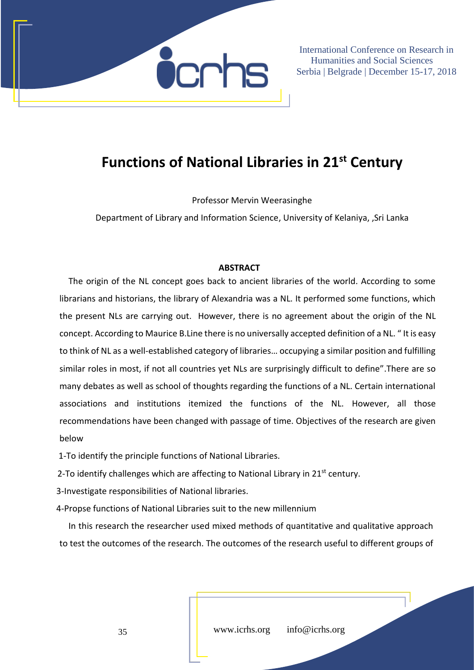

## **Functions of National Libraries in 21st Century**

Professor Mervin Weerasinghe

Department of Library and Information Science, University of Kelaniya, ,Sri Lanka

## **ABSTRACT**

The origin of the NL concept goes back to ancient libraries of the world. According to some librarians and historians, the library of Alexandria was a NL. It performed some functions, which the present NLs are carrying out. However, there is no agreement about the origin of the NL concept. According to Maurice B.Line there is no universally accepted definition of a NL. " It is easy to think of NL as a well-established category of libraries… occupying a similar position and fulfilling similar roles in most, if not all countries yet NLs are surprisingly difficult to define".There are so many debates as well as school of thoughts regarding the functions of a NL. Certain international associations and institutions itemized the functions of the NL. However, all those recommendations have been changed with passage of time. Objectives of the research are given below

1-To identify the principle functions of National Libraries.

2-To identify challenges which are affecting to National Library in  $21<sup>st</sup>$  century.

3-Investigate responsibilities of National libraries.

4-Propse functions of National Libraries suit to the new millennium

In this research the researcher used mixed methods of quantitative and qualitative approach to test the outcomes of the research. The outcomes of the research useful to different groups of